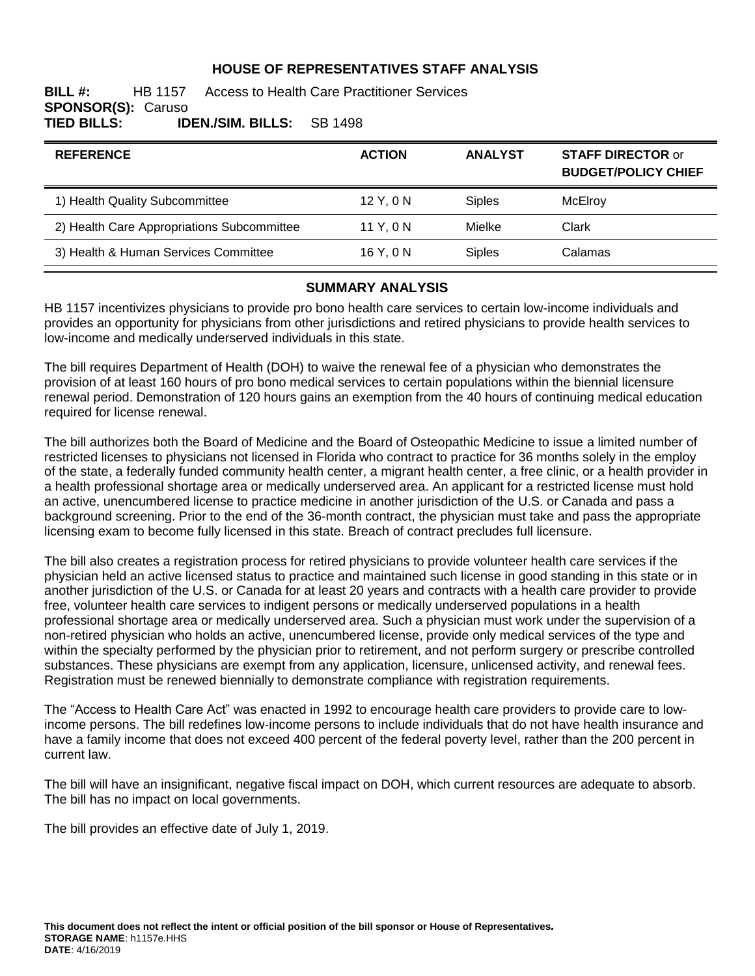#### **HOUSE OF REPRESENTATIVES STAFF ANALYSIS**

#### **BILL #:** HB 1157 Access to Health Care Practitioner Services **SPONSOR(S): Caruso<br>TIED BILLS: ID TIED BILLS: IDEN./SIM. BILLS:** SB 1498

| <b>ACTION</b> | <b>ANALYST</b> | <b>STAFF DIRECTOR or</b><br><b>BUDGET/POLICY CHIEF</b> |
|---------------|----------------|--------------------------------------------------------|
| 12 Y, 0 N     | <b>Siples</b>  | McElroy                                                |
| 11 Y, 0 N     | Mielke         | Clark                                                  |
| 16 Y.ON       | <b>Siples</b>  | Calamas                                                |
|               |                |                                                        |

#### **SUMMARY ANALYSIS**

HB 1157 incentivizes physicians to provide pro bono health care services to certain low-income individuals and provides an opportunity for physicians from other jurisdictions and retired physicians to provide health services to low-income and medically underserved individuals in this state.

The bill requires Department of Health (DOH) to waive the renewal fee of a physician who demonstrates the provision of at least 160 hours of pro bono medical services to certain populations within the biennial licensure renewal period. Demonstration of 120 hours gains an exemption from the 40 hours of continuing medical education required for license renewal.

The bill authorizes both the Board of Medicine and the Board of Osteopathic Medicine to issue a limited number of restricted licenses to physicians not licensed in Florida who contract to practice for 36 months solely in the employ of the state, a federally funded community health center, a migrant health center, a free clinic, or a health provider in a health professional shortage area or medically underserved area. An applicant for a restricted license must hold an active, unencumbered license to practice medicine in another jurisdiction of the U.S. or Canada and pass a background screening. Prior to the end of the 36-month contract, the physician must take and pass the appropriate licensing exam to become fully licensed in this state. Breach of contract precludes full licensure.

The bill also creates a registration process for retired physicians to provide volunteer health care services if the physician held an active licensed status to practice and maintained such license in good standing in this state or in another jurisdiction of the U.S. or Canada for at least 20 years and contracts with a health care provider to provide free, volunteer health care services to indigent persons or medically underserved populations in a health professional shortage area or medically underserved area. Such a physician must work under the supervision of a non-retired physician who holds an active, unencumbered license, provide only medical services of the type and within the specialty performed by the physician prior to retirement, and not perform surgery or prescribe controlled substances. These physicians are exempt from any application, licensure, unlicensed activity, and renewal fees. Registration must be renewed biennially to demonstrate compliance with registration requirements.

The "Access to Health Care Act" was enacted in 1992 to encourage health care providers to provide care to lowincome persons. The bill redefines low-income persons to include individuals that do not have health insurance and have a family income that does not exceed 400 percent of the federal poverty level, rather than the 200 percent in current law.

The bill will have an insignificant, negative fiscal impact on DOH, which current resources are adequate to absorb. The bill has no impact on local governments.

The bill provides an effective date of July 1, 2019.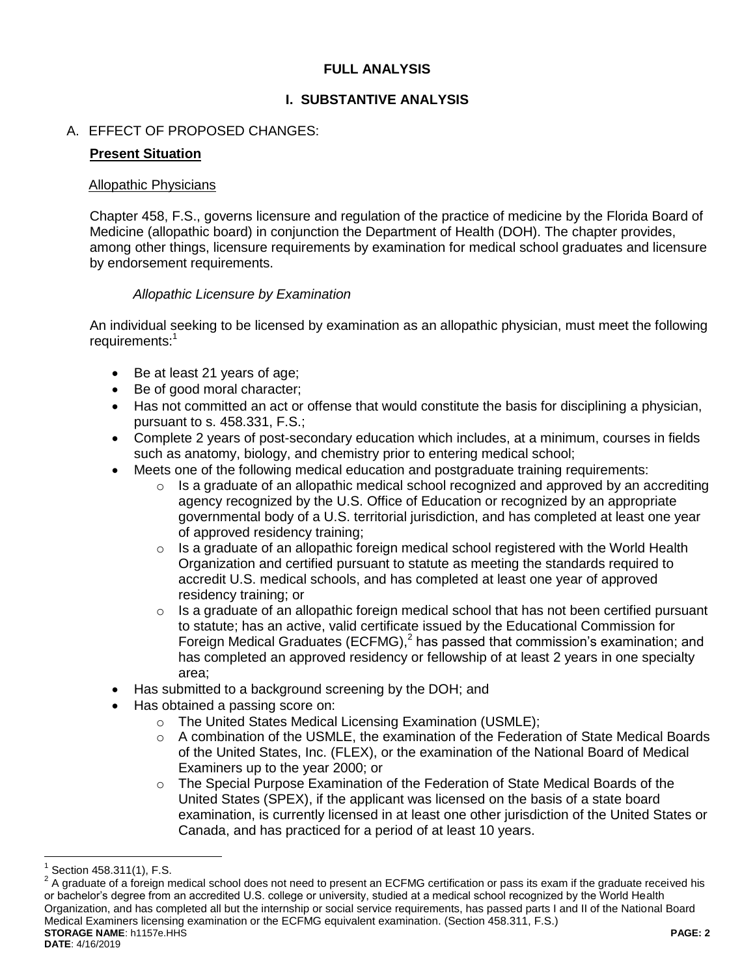# **FULL ANALYSIS**

# **I. SUBSTANTIVE ANALYSIS**

# A. EFFECT OF PROPOSED CHANGES:

#### **Present Situation**

#### Allopathic Physicians

Chapter 458, F.S., governs licensure and regulation of the practice of medicine by the Florida Board of Medicine (allopathic board) in conjunction the Department of Health (DOH). The chapter provides, among other things, licensure requirements by examination for medical school graduates and licensure by endorsement requirements.

## *Allopathic Licensure by Examination*

An individual seeking to be licensed by examination as an allopathic physician, must meet the following requirements:<sup>1</sup>

- Be at least 21 years of age;
- Be of good moral character;
- Has not committed an act or offense that would constitute the basis for disciplining a physician, pursuant to s. 458.331, F.S.;
- Complete 2 years of post-secondary education which includes, at a minimum, courses in fields such as anatomy, biology, and chemistry prior to entering medical school;
- Meets one of the following medical education and postgraduate training requirements:
	- $\circ$  Is a graduate of an allopathic medical school recognized and approved by an accrediting agency recognized by the U.S. Office of Education or recognized by an appropriate governmental body of a U.S. territorial jurisdiction, and has completed at least one year of approved residency training;
	- o Is a graduate of an allopathic foreign medical school registered with the World Health Organization and certified pursuant to statute as meeting the standards required to accredit U.S. medical schools, and has completed at least one year of approved residency training; or
	- o Is a graduate of an allopathic foreign medical school that has not been certified pursuant to statute; has an active, valid certificate issued by the Educational Commission for Foreign Medical Graduates (ECFMG), $<sup>2</sup>$  has passed that commission's examination; and</sup> has completed an approved residency or fellowship of at least 2 years in one specialty area;
- Has submitted to a background screening by the DOH; and
- Has obtained a passing score on:
	- o The United States Medical Licensing Examination (USMLE);
	- $\circ$  A combination of the USMLE, the examination of the Federation of State Medical Boards of the United States, Inc. (FLEX), or the examination of the National Board of Medical Examiners up to the year 2000; or
	- o The Special Purpose Examination of the Federation of State Medical Boards of the United States (SPEX), if the applicant was licensed on the basis of a state board examination, is currently licensed in at least one other jurisdiction of the United States or Canada, and has practiced for a period of at least 10 years.

<sup>1</sup> Section 458.311(1), F.S.

**STORAGE NAME**: h1157e.HHS **PAGE: 2 DATE**: 4/16/2019  $2$  A graduate of a foreign medical school does not need to present an ECFMG certification or pass its exam if the graduate received his or bachelor's degree from an accredited U.S. college or university, studied at a medical school recognized by the World Health Organization, and has completed all but the internship or social service requirements, has passed parts I and II of the National Board Medical Examiners licensing examination or the ECFMG equivalent examination. (Section 458.311, F.S.)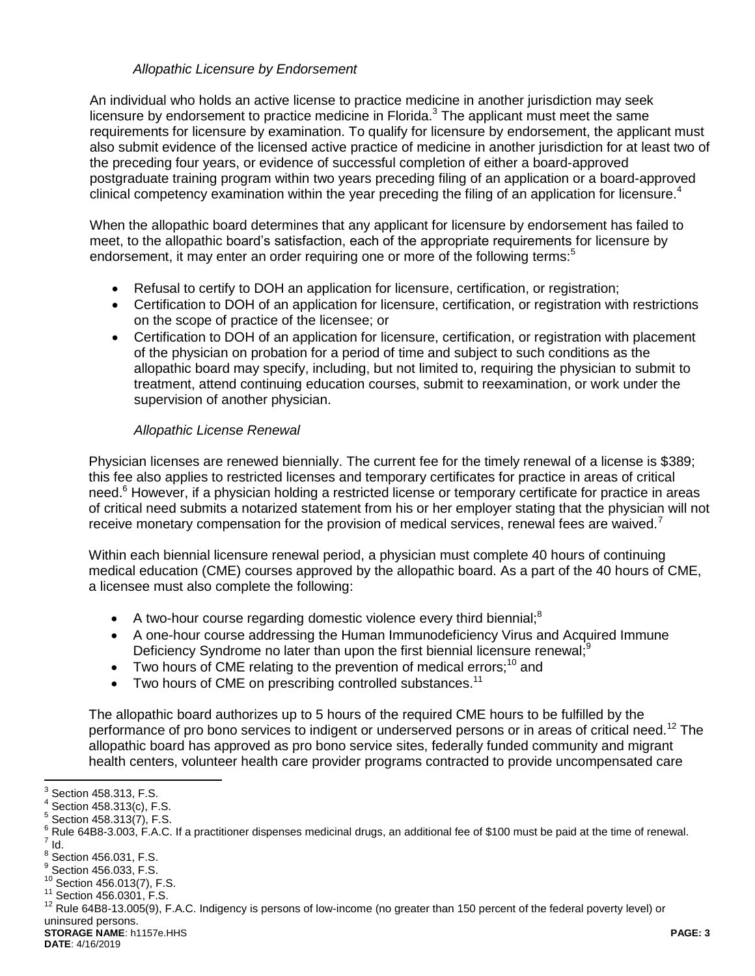## *Allopathic Licensure by Endorsement*

An individual who holds an active license to practice medicine in another jurisdiction may seek licensure by endorsement to practice medicine in Florida. $3$  The applicant must meet the same requirements for licensure by examination. To qualify for licensure by endorsement, the applicant must also submit evidence of the licensed active practice of medicine in another jurisdiction for at least two of the preceding four years, or evidence of successful completion of either a board-approved postgraduate training program within two years preceding filing of an application or a board-approved clinical competency examination within the year preceding the filing of an application for licensure.<sup>4</sup>

When the allopathic board determines that any applicant for licensure by endorsement has failed to meet, to the allopathic board's satisfaction, each of the appropriate requirements for licensure by endorsement, it may enter an order requiring one or more of the following terms:<sup>5</sup>

- Refusal to certify to DOH an application for licensure, certification, or registration;
- Certification to DOH of an application for licensure, certification, or registration with restrictions on the scope of practice of the licensee; or
- Certification to DOH of an application for licensure, certification, or registration with placement of the physician on probation for a period of time and subject to such conditions as the allopathic board may specify, including, but not limited to, requiring the physician to submit to treatment, attend continuing education courses, submit to reexamination, or work under the supervision of another physician.

# *Allopathic License Renewal*

Physician licenses are renewed biennially. The current fee for the timely renewal of a license is \$389; this fee also applies to restricted licenses and temporary certificates for practice in areas of critical need.<sup>6</sup> However, if a physician holding a restricted license or temporary certificate for practice in areas of critical need submits a notarized statement from his or her employer stating that the physician will not receive monetary compensation for the provision of medical services, renewal fees are waived.

Within each biennial licensure renewal period, a physician must complete 40 hours of continuing medical education (CME) courses approved by the allopathic board. As a part of the 40 hours of CME, a licensee must also complete the following:

- A two-hour course regarding domestic violence every third biennial;<sup>8</sup>
- A one-hour course addressing the Human Immunodeficiency Virus and Acquired Immune Deficiency Syndrome no later than upon the first biennial licensure renewal;<sup>9</sup>
- $\bullet$  Two hours of CME relating to the prevention of medical errors:<sup>10</sup> and
- $\bullet$  Two hours of CME on prescribing controlled substances.<sup>11</sup>

The allopathic board authorizes up to 5 hours of the required CME hours to be fulfilled by the performance of pro bono services to indigent or underserved persons or in areas of critical need.<sup>12</sup> The allopathic board has approved as pro bono service sites, federally funded community and migrant health centers, volunteer health care provider programs contracted to provide uncompensated care

 3 Section 458.313, F.S.

 $4$  Section 458.313(c), F.S.

 $5$  Section 458.313(7), F.S.

<sup>&</sup>lt;sup>6</sup> Rule 64B8-3.003, F.A.C. If a practitioner dispenses medicinal drugs, an additional fee of \$100 must be paid at the time of renewal.  $^7$  Id.

 $8$  Section 456.031, F.S.

 $^9$  Section 456.033, F.S.

<sup>10</sup> Section 456.013(7), F.S.

<sup>11</sup> Section 456.0301, F.S.

<sup>12</sup> Rule 64B8-13.005(9), F.A.C. Indigency is persons of low-income (no greater than 150 percent of the federal poverty level) or uninsured persons.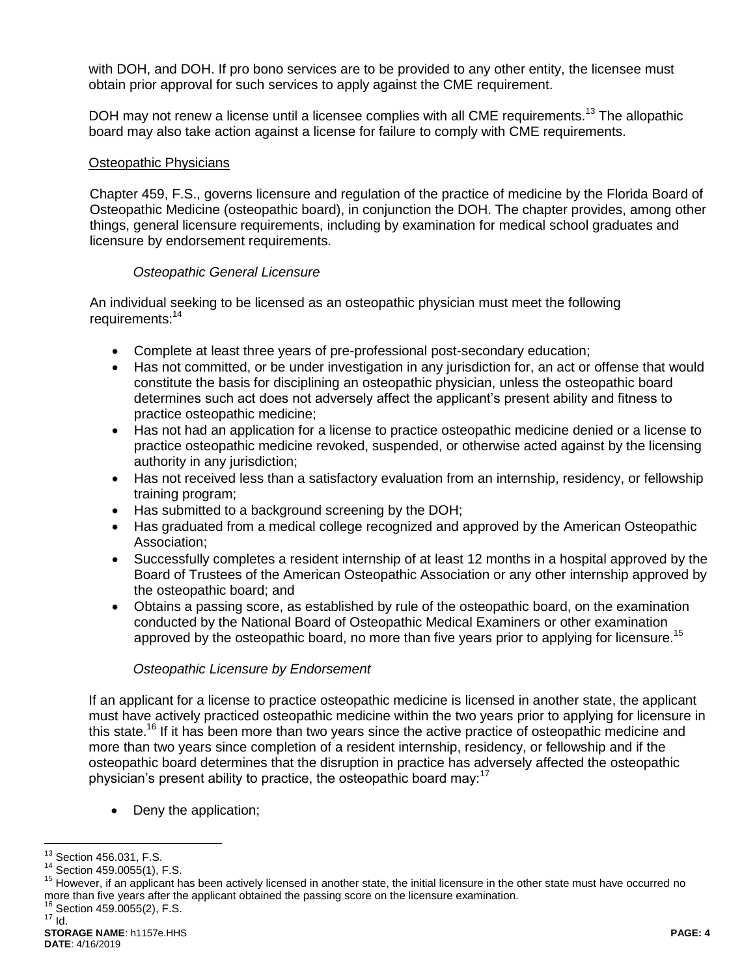with DOH, and DOH. If pro bono services are to be provided to any other entity, the licensee must obtain prior approval for such services to apply against the CME requirement.

DOH may not renew a license until a licensee complies with all CME requirements.<sup>13</sup> The allopathic board may also take action against a license for failure to comply with CME requirements.

#### Osteopathic Physicians

Chapter 459, F.S., governs licensure and regulation of the practice of medicine by the Florida Board of Osteopathic Medicine (osteopathic board), in conjunction the DOH. The chapter provides, among other things, general licensure requirements, including by examination for medical school graduates and licensure by endorsement requirements.

#### *Osteopathic General Licensure*

An individual seeking to be licensed as an osteopathic physician must meet the following requirements:<sup>14</sup>

- Complete at least three years of pre-professional post-secondary education;
- Has not committed, or be under investigation in any jurisdiction for, an act or offense that would constitute the basis for disciplining an osteopathic physician, unless the osteopathic board determines such act does not adversely affect the applicant's present ability and fitness to practice osteopathic medicine;
- Has not had an application for a license to practice osteopathic medicine denied or a license to practice osteopathic medicine revoked, suspended, or otherwise acted against by the licensing authority in any jurisdiction;
- Has not received less than a satisfactory evaluation from an internship, residency, or fellowship training program;
- Has submitted to a background screening by the DOH;
- Has graduated from a medical college recognized and approved by the American Osteopathic Association;
- Successfully completes a resident internship of at least 12 months in a hospital approved by the Board of Trustees of the American Osteopathic Association or any other internship approved by the osteopathic board; and
- Obtains a passing score, as established by rule of the osteopathic board, on the examination conducted by the National Board of Osteopathic Medical Examiners or other examination approved by the osteopathic board, no more than five years prior to applying for licensure.<sup>15</sup>

## *Osteopathic Licensure by Endorsement*

If an applicant for a license to practice osteopathic medicine is licensed in another state, the applicant must have actively practiced osteopathic medicine within the two years prior to applying for licensure in this state.<sup>16</sup> If it has been more than two years since the active practice of osteopathic medicine and more than two years since completion of a resident internship, residency, or fellowship and if the osteopathic board determines that the disruption in practice has adversely affected the osteopathic physician's present ability to practice, the osteopathic board may:  $17$ 

Deny the application;

 $16$  Section 459.0055(2), F.S.

 $\overline{a}$  $13$  Section 456.031, F.S.

<sup>14</sup> Section 459.0055(1), F.S.

<sup>&</sup>lt;sup>15</sup> However, if an applicant has been actively licensed in another state, the initial licensure in the other state must have occurred no more than five years after the applicant obtained the passing score on the licensure examination.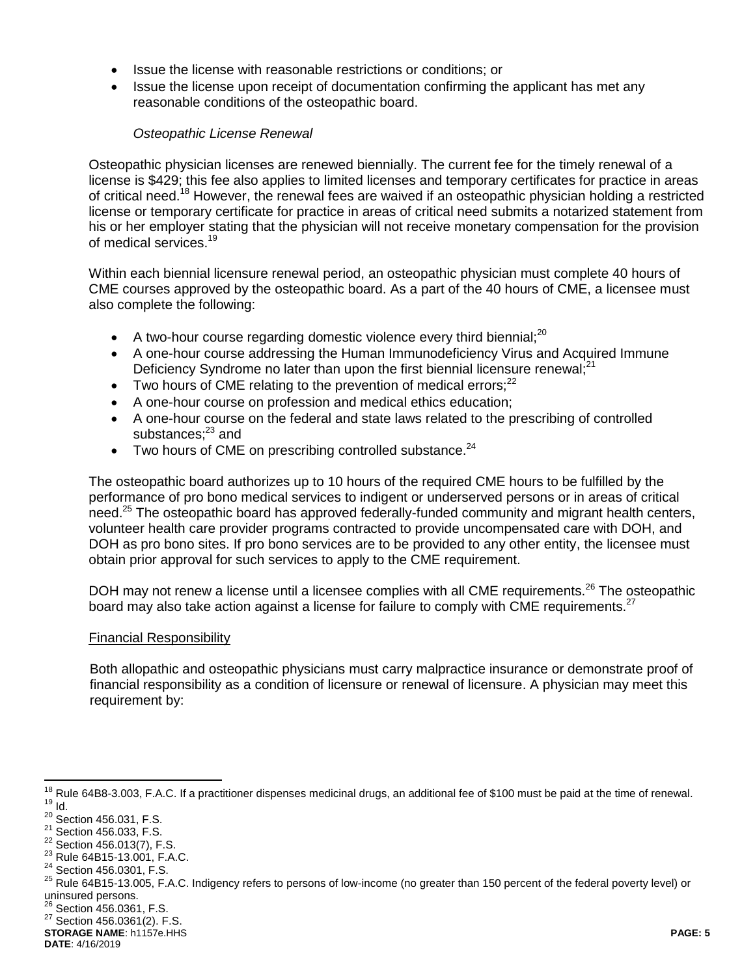- Issue the license with reasonable restrictions or conditions; or
- Issue the license upon receipt of documentation confirming the applicant has met any reasonable conditions of the osteopathic board.

#### *Osteopathic License Renewal*

Osteopathic physician licenses are renewed biennially. The current fee for the timely renewal of a license is \$429; this fee also applies to limited licenses and temporary certificates for practice in areas of critical need.<sup>18</sup> However, the renewal fees are waived if an osteopathic physician holding a restricted license or temporary certificate for practice in areas of critical need submits a notarized statement from his or her employer stating that the physician will not receive monetary compensation for the provision of medical services.<sup>19</sup>

Within each biennial licensure renewal period, an osteopathic physician must complete 40 hours of CME courses approved by the osteopathic board. As a part of the 40 hours of CME, a licensee must also complete the following:

- A two-hour course regarding domestic violence every third biennial;<sup>20</sup>
- A one-hour course addressing the Human Immunodeficiency Virus and Acquired Immune Deficiency Syndrome no later than upon the first biennial licensure renewal;<sup>21</sup>
- $\bullet$  Two hours of CME relating to the prevention of medical errors:<sup>22</sup>
- A one-hour course on profession and medical ethics education;
- A one-hour course on the federal and state laws related to the prescribing of controlled substances; $^{23}$  and
- $\bullet$  Two hours of CME on prescribing controlled substance.<sup>24</sup>

The osteopathic board authorizes up to 10 hours of the required CME hours to be fulfilled by the performance of pro bono medical services to indigent or underserved persons or in areas of critical need.<sup>25</sup> The osteopathic board has approved federally-funded community and migrant health centers, volunteer health care provider programs contracted to provide uncompensated care with DOH, and DOH as pro bono sites. If pro bono services are to be provided to any other entity, the licensee must obtain prior approval for such services to apply to the CME requirement.

DOH may not renew a license until a licensee complies with all CME requirements.<sup>26</sup> The osteopathic board may also take action against a license for failure to comply with CME requirements.<sup>27</sup>

#### Financial Responsibility

Both allopathic and osteopathic physicians must carry malpractice insurance or demonstrate proof of financial responsibility as a condition of licensure or renewal of licensure. A physician may meet this requirement by:

<sup>23</sup> Rule 64B15-13.001, F.A.C.

 $\overline{a}$  $18$  Rule 64B8-3.003, F.A.C. If a practitioner dispenses medicinal drugs, an additional fee of \$100 must be paid at the time of renewal.  $19$  Id.

 $20$  Section 456.031, F.S.

<sup>21</sup> Section 456.033, F.S.

<sup>&</sup>lt;sup>22</sup> Section 456.013(7), F.S.

<sup>&</sup>lt;sup>24</sup> Section 456.0301, F.S.

<sup>&</sup>lt;sup>25</sup> Rule 64B15-13.005, F.A.C. Indigency refers to persons of low-income (no greater than 150 percent of the federal poverty level) or uninsured persons.

 $^{26}$  Section 456.0361, F.S.

<sup>27</sup> Section 456.0361(2). F.S.

**STORAGE NAME**: h1157e.HHS **PAGE: 5**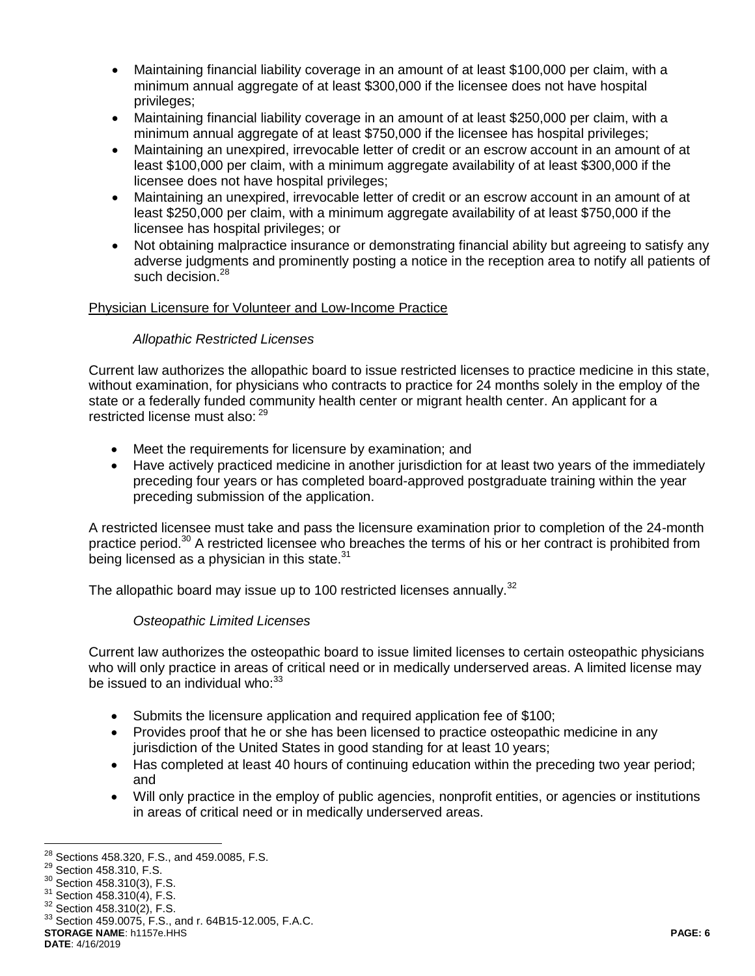- Maintaining financial liability coverage in an amount of at least \$100,000 per claim, with a minimum annual aggregate of at least \$300,000 if the licensee does not have hospital privileges;
- Maintaining financial liability coverage in an amount of at least \$250,000 per claim, with a minimum annual aggregate of at least \$750,000 if the licensee has hospital privileges;
- Maintaining an unexpired, irrevocable letter of credit or an escrow account in an amount of at least \$100,000 per claim, with a minimum aggregate availability of at least \$300,000 if the licensee does not have hospital privileges;
- Maintaining an unexpired, irrevocable letter of credit or an escrow account in an amount of at least \$250,000 per claim, with a minimum aggregate availability of at least \$750,000 if the licensee has hospital privileges; or
- Not obtaining malpractice insurance or demonstrating financial ability but agreeing to satisfy any adverse judgments and prominently posting a notice in the reception area to notify all patients of such decision.<sup>28</sup>

## Physician Licensure for Volunteer and Low-Income Practice

# *Allopathic Restricted Licenses*

Current law authorizes the allopathic board to issue restricted licenses to practice medicine in this state, without examination, for physicians who contracts to practice for 24 months solely in the employ of the state or a federally funded community health center or migrant health center. An applicant for a restricted license must also: <sup>29</sup>

- Meet the requirements for licensure by examination; and
- Have actively practiced medicine in another jurisdiction for at least two years of the immediately preceding four years or has completed board-approved postgraduate training within the year preceding submission of the application.

A restricted licensee must take and pass the licensure examination prior to completion of the 24-month practice period.<sup>30</sup> A restricted licensee who breaches the terms of his or her contract is prohibited from being licensed as a physician in this state. $31$ 

The allopathic board may issue up to 100 restricted licenses annually.<sup>32</sup>

## *Osteopathic Limited Licenses*

Current law authorizes the osteopathic board to issue limited licenses to certain osteopathic physicians who will only practice in areas of critical need or in medically underserved areas. A limited license may be issued to an individual who: $33$ 

- Submits the licensure application and required application fee of \$100;
- Provides proof that he or she has been licensed to practice osteopathic medicine in any jurisdiction of the United States in good standing for at least 10 years;
- Has completed at least 40 hours of continuing education within the preceding two year period; and
- Will only practice in the employ of public agencies, nonprofit entities, or agencies or institutions in areas of critical need or in medically underserved areas.

**DATE**: 4/16/2019

 $\overline{a}$  $^{28}$  Sections 458.320, F.S., and 459.0085, F.S.

<sup>&</sup>lt;sup>29</sup> Section 458.310, F.S.

<sup>30</sup> Section 458.310(3), F.S.

<sup>&</sup>lt;sup>31</sup> Section 458.310(4), F.S.

<sup>32</sup> Section 458.310(2), F.S.

**STORAGE NAME**: h1157e.HHS **PAGE: 6** <sup>33</sup> Section 459.0075, F.S., and r. 64B15-12.005, F.A.C.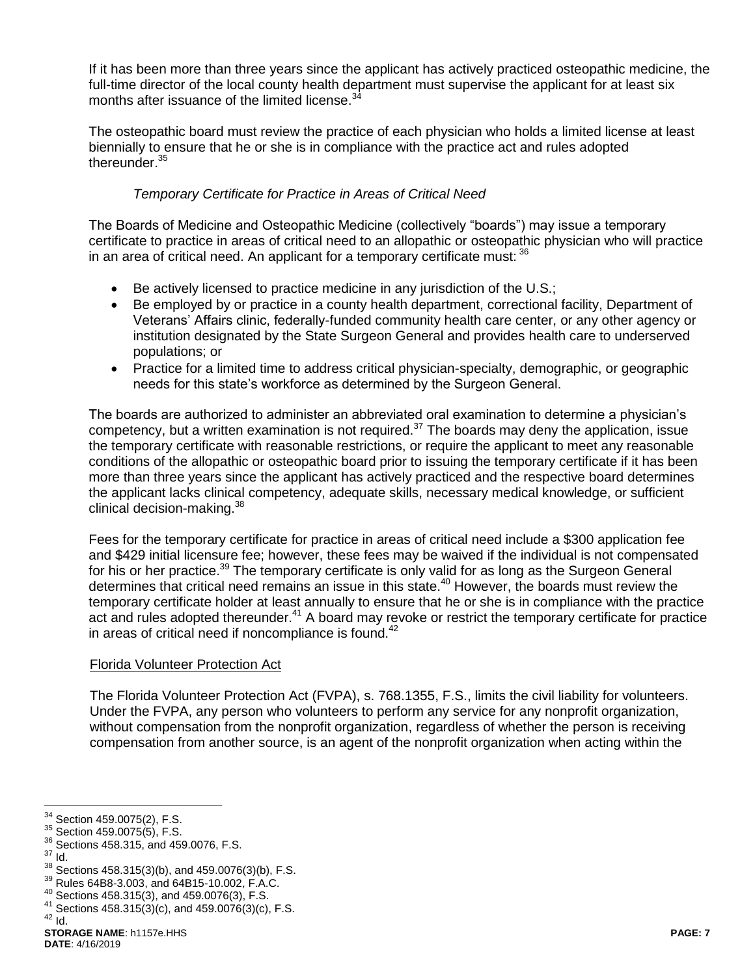If it has been more than three years since the applicant has actively practiced osteopathic medicine, the full-time director of the local county health department must supervise the applicant for at least six months after issuance of the limited license.<sup>3</sup>

The osteopathic board must review the practice of each physician who holds a limited license at least biennially to ensure that he or she is in compliance with the practice act and rules adopted thereunder.<sup>35</sup>

#### *Temporary Certificate for Practice in Areas of Critical Need*

The Boards of Medicine and Osteopathic Medicine (collectively "boards") may issue a temporary certificate to practice in areas of critical need to an allopathic or osteopathic physician who will practice in an area of critical need. An applicant for a temporary certificate must:  $36$ 

- Be actively licensed to practice medicine in any jurisdiction of the U.S.;
- Be employed by or practice in a county health department, correctional facility, Department of Veterans' Affairs clinic, federally-funded community health care center, or any other agency or institution designated by the State Surgeon General and provides health care to underserved populations; or
- Practice for a limited time to address critical physician-specialty, demographic, or geographic needs for this state's workforce as determined by the Surgeon General.

The boards are authorized to administer an abbreviated oral examination to determine a physician's competency, but a written examination is not required.<sup>37</sup> The boards may deny the application, issue the temporary certificate with reasonable restrictions, or require the applicant to meet any reasonable conditions of the allopathic or osteopathic board prior to issuing the temporary certificate if it has been more than three years since the applicant has actively practiced and the respective board determines the applicant lacks clinical competency, adequate skills, necessary medical knowledge, or sufficient clinical decision-making.<sup>38</sup>

Fees for the temporary certificate for practice in areas of critical need include a \$300 application fee and \$429 initial licensure fee; however, these fees may be waived if the individual is not compensated for his or her practice.<sup>39</sup> The temporary certificate is only valid for as long as the Surgeon General determines that critical need remains an issue in this state.<sup>40</sup> However, the boards must review the temporary certificate holder at least annually to ensure that he or she is in compliance with the practice act and rules adopted thereunder.<sup>41</sup> A board may revoke or restrict the temporary certificate for practice in areas of critical need if noncompliance is found. $42$ 

#### Florida Volunteer Protection Act

The Florida Volunteer Protection Act (FVPA), s. 768.1355, F.S., limits the civil liability for volunteers. Under the FVPA, any person who volunteers to perform any service for any nonprofit organization, without compensation from the nonprofit organization, regardless of whether the person is receiving compensation from another source, is an agent of the nonprofit organization when acting within the

 $37$   $\mathrm{Id}$ .

 $\overline{a}$ 

 $42$  Id.

Section 459.0075(2), F.S.

<sup>35</sup> Section 459.0075(5), F.S.

<sup>36</sup> Sections 458.315, and 459.0076, F.S.

 $38$  Sections 458.315(3)(b), and 459.0076(3)(b), F.S.

<sup>39</sup> Rules 64B8-3.003, and 64B15-10.002, F.A.C.

<sup>40</sup> Sections 458.315(3), and 459.0076(3), F.S.

<sup>41</sup> Sections  $458.315(3)(c)$ , and  $459.0076(3)(c)$ , F.S.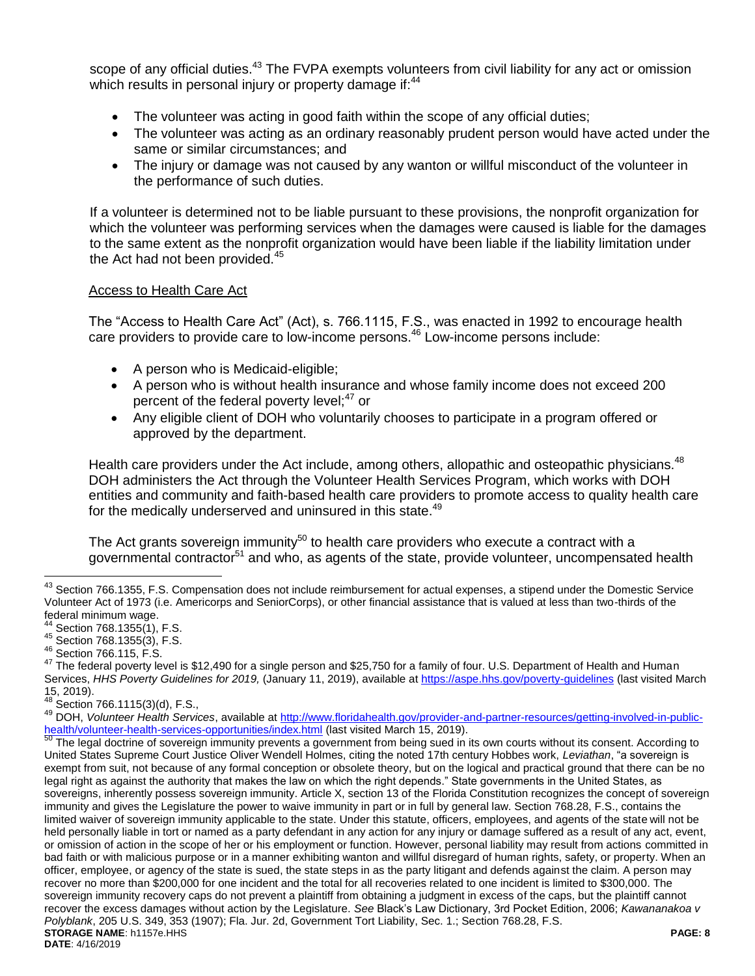scope of any official duties.<sup>43</sup> The FVPA exempts volunteers from civil liability for any act or omission which results in personal injury or property damage if:<sup>44</sup>

- The volunteer was acting in good faith within the scope of any official duties;
- The volunteer was acting as an ordinary reasonably prudent person would have acted under the same or similar circumstances; and
- The injury or damage was not caused by any wanton or willful misconduct of the volunteer in the performance of such duties.

If a volunteer is determined not to be liable pursuant to these provisions, the nonprofit organization for which the volunteer was performing services when the damages were caused is liable for the damages to the same extent as the nonprofit organization would have been liable if the liability limitation under the Act had not been provided.<sup>45</sup>

## Access to Health Care Act

The "Access to Health Care Act" (Act), s. 766.1115, F.S., was enacted in 1992 to encourage health care providers to provide care to low-income persons.<sup>46</sup> Low-income persons include:

- A person who is Medicaid-eligible;
- A person who is without health insurance and whose family income does not exceed 200 percent of the federal poverty level;<sup>47</sup> or
- Any eligible client of DOH who voluntarily chooses to participate in a program offered or approved by the department.

Health care providers under the Act include, among others, allopathic and osteopathic physicians.<sup>48</sup> DOH administers the Act through the Volunteer Health Services Program, which works with DOH entities and community and faith-based health care providers to promote access to quality health care for the medically underserved and uninsured in this state.<sup>49</sup>

The Act grants sovereign immunity<sup>50</sup> to health care providers who execute a contract with a governmental contractor<sup>51</sup> and who, as agents of the state, provide volunteer, uncompensated health

<sup>&</sup>lt;sup>43</sup> Section 766.1355, F.S. Compensation does not include reimbursement for actual expenses, a stipend under the Domestic Service Volunteer Act of 1973 (i.e. Americorps and SeniorCorps), or other financial assistance that is valued at less than two-thirds of the federal minimum wage.

Section 768.1355(1), F.S.

<sup>45</sup> Section 768.1355(3), F.S.

<sup>46</sup> Section 766.115, F.S.

<sup>&</sup>lt;sup>47</sup> The federal poverty level is \$12,490 for a single person and \$25,750 for a family of four. U.S. Department of Health and Human Services, *HHS Poverty Guidelines for 2019,* (January 11, 2019), available a[t https://aspe.hhs.gov/poverty-guidelines](https://aspe.hhs.gov/poverty-guidelines) (last visited March  $15, 2019$ ).

Section 766.1115(3)(d), F.S.,

<sup>49</sup> DOH, *Volunteer Health Services*, available at [http://www.floridahealth.gov/provider-and-partner-resources/getting-involved-in-public](http://www.floridahealth.gov/provider-and-partner-resources/getting-involved-in-public-health/volunteer-health-services-opportunities/index.html)[health/volunteer-health-services-opportunities/index.html](http://www.floridahealth.gov/provider-and-partner-resources/getting-involved-in-public-health/volunteer-health-services-opportunities/index.html) (last visited March 15, 2019).<br>50 The legal doctring of access opportunities/index.html (last visited March 15, 2019).

**STORAGE NAME**: h1157e.HHS **PAGE: 8 DATE**: 4/16/2019 The legal doctrine of sovereign immunity prevents a government from being sued in its own courts without its consent. According to United States Supreme Court Justice Oliver Wendell Holmes, citing the noted 17th century Hobbes work, *Leviathan*, "a sovereign is exempt from suit, not because of any formal conception or obsolete theory, but on the logical and practical ground that there can be no legal right as against the authority that makes the law on which the right depends." State governments in the United States, as sovereigns, inherently possess sovereign immunity. Article X, section 13 of the Florida Constitution recognizes the concept of sovereign immunity and gives the Legislature the power to waive immunity in part or in full by general law. Section 768.28, F.S., contains the limited waiver of sovereign immunity applicable to the state. Under this statute, officers, employees, and agents of the state will not be held personally liable in tort or named as a party defendant in any action for any injury or damage suffered as a result of any act, event, or omission of action in the scope of her or his employment or function. However, personal liability may result from actions committed in bad faith or with malicious purpose or in a manner exhibiting wanton and willful disregard of human rights, safety, or property. When an officer, employee, or agency of the state is sued, the state steps in as the party litigant and defends against the claim. A person may recover no more than \$200,000 for one incident and the total for all recoveries related to one incident is limited to \$300,000. The sovereign immunity recovery caps do not prevent a plaintiff from obtaining a judgment in excess of the caps, but the plaintiff cannot recover the excess damages without action by the Legislature. *See* Black's Law Dictionary, 3rd Pocket Edition, 2006; *Kawananakoa v Polyblank*, 205 U.S. 349, 353 (1907); Fla. Jur. 2d, Government Tort Liability, Sec. 1.; Section 768.28, F.S.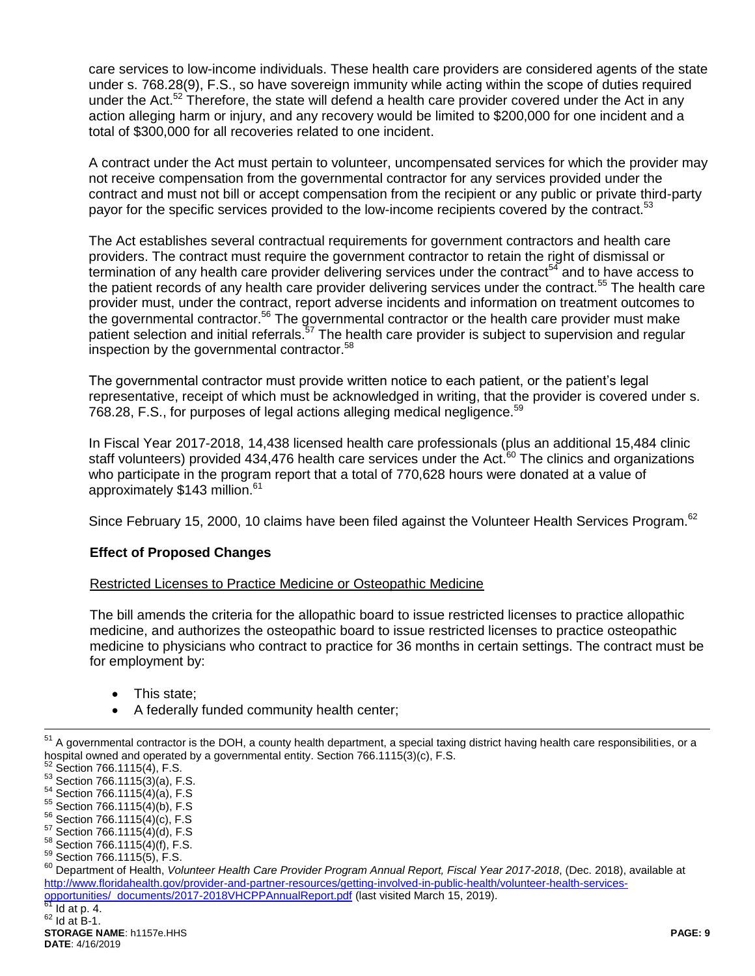care services to low-income individuals. These health care providers are considered agents of the state under s. 768.28(9), F.S., so have sovereign immunity while acting within the scope of duties required under the Act.<sup>52</sup> Therefore, the state will defend a health care provider covered under the Act in any action alleging harm or injury, and any recovery would be limited to \$200,000 for one incident and a total of \$300,000 for all recoveries related to one incident.

A contract under the Act must pertain to volunteer, uncompensated services for which the provider may not receive compensation from the governmental contractor for any services provided under the contract and must not bill or accept compensation from the recipient or any public or private third-party payor for the specific services provided to the low-income recipients covered by the contract.<sup>53</sup>

The Act establishes several contractual requirements for government contractors and health care providers. The contract must require the government contractor to retain the right of dismissal or termination of any health care provider delivering services under the contract<sup>54</sup> and to have access to the patient records of any health care provider delivering services under the contract.<sup>55</sup> The health care provider must, under the contract, report adverse incidents and information on treatment outcomes to the governmental contractor.<sup>56</sup> The governmental contractor or the health care provider must make patient selection and initial referrals.<sup>57</sup> The health care provider is subject to supervision and regular inspection by the governmental contractor.<sup>58</sup>

The governmental contractor must provide written notice to each patient, or the patient's legal representative, receipt of which must be acknowledged in writing, that the provider is covered under s. 768.28, F.S., for purposes of legal actions alleging medical negligence.<sup>59</sup>

In Fiscal Year 2017-2018, 14,438 licensed health care professionals (plus an additional 15,484 clinic staff volunteers) provided 434,476 health care services under the Act. $60$  The clinics and organizations who participate in the program report that a total of 770,628 hours were donated at a value of approximately \$143 million.<sup>61</sup>

Since February 15, 2000, 10 claims have been filed against the Volunteer Health Services Program.<sup>62</sup>

## **Effect of Proposed Changes**

## Restricted Licenses to Practice Medicine or Osteopathic Medicine

The bill amends the criteria for the allopathic board to issue restricted licenses to practice allopathic medicine, and authorizes the osteopathic board to issue restricted licenses to practice osteopathic medicine to physicians who contract to practice for 36 months in certain settings. The contract must be for employment by:

- This state;
- A federally funded community health center;

 $^{51}$  A governmental contractor is the DOH, a county health department, a special taxing district having health care responsibilities, or a hospital owned and operated by a governmental entity. Section 766.1115(3)(c), F.S.

Section 766.1115(4), F.S.  $53$  Section 766.1115(3)(a), F.S.

<sup>54</sup> Section 766.1115(4)(a), F.S

<sup>55</sup> Section 766.1115(4)(b), F.S

<sup>56</sup> Section 766.1115(4)(c), F.S

<sup>57</sup> Section 766.1115(4)(d), F.S

<sup>58</sup> Section 766.1115(4)(f), F.S.

<sup>59</sup> Section 766.1115(5), F.S.

<sup>60</sup> Department of Health, *Volunteer Health Care Provider Program Annual Report, Fiscal Year 2017-2018*, (Dec. 2018), available at [http://www.floridahealth.gov/provider-and-partner-resources/getting-involved-in-public-health/volunteer-health-services](http://www.floridahealth.gov/provider-and-partner-resources/getting-involved-in-public-health/volunteer-health-services-opportunities/_documents/2017-2018VHCPPAnnualReport.pdf)[opportunities/\\_documents/2017-2018VHCPPAnnualReport.pdf](http://www.floridahealth.gov/provider-and-partner-resources/getting-involved-in-public-health/volunteer-health-services-opportunities/_documents/2017-2018VHCPPAnnualReport.pdf) (last visited March 15, 2019).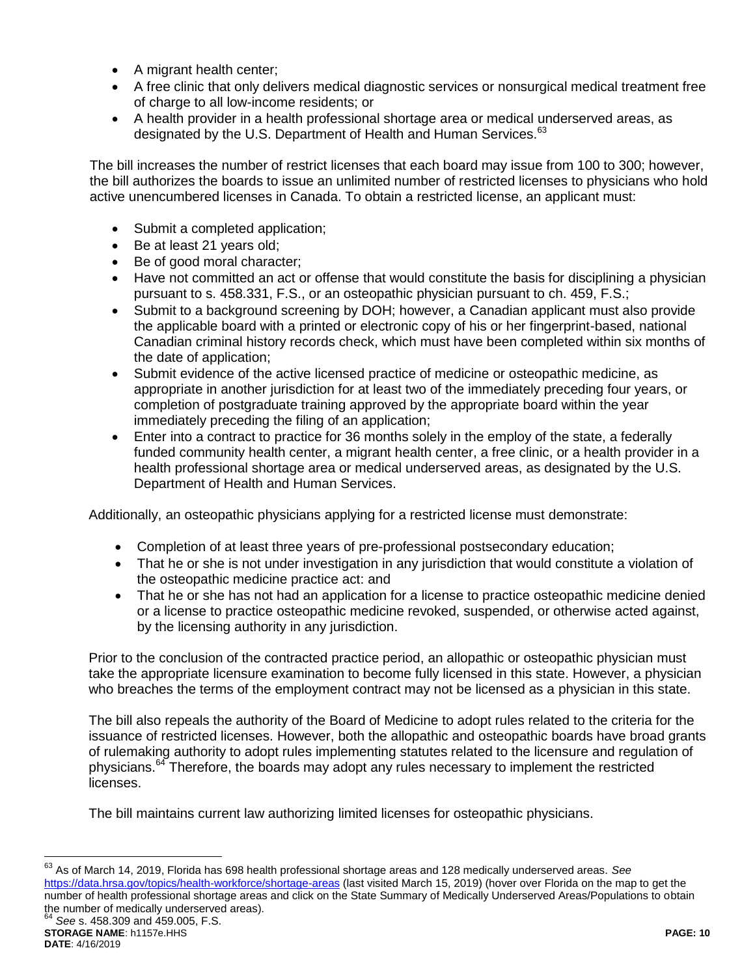- A migrant health center;
- A free clinic that only delivers medical diagnostic services or nonsurgical medical treatment free of charge to all low-income residents; or
- A health provider in a health professional shortage area or medical underserved areas, as designated by the U.S. Department of Health and Human Services.<sup>63</sup>

The bill increases the number of restrict licenses that each board may issue from 100 to 300; however, the bill authorizes the boards to issue an unlimited number of restricted licenses to physicians who hold active unencumbered licenses in Canada. To obtain a restricted license, an applicant must:

- Submit a completed application;
- Be at least 21 years old;
- Be of good moral character;
- Have not committed an act or offense that would constitute the basis for disciplining a physician pursuant to s. 458.331, F.S., or an osteopathic physician pursuant to ch. 459, F.S.;
- Submit to a background screening by DOH; however, a Canadian applicant must also provide the applicable board with a printed or electronic copy of his or her fingerprint-based, national Canadian criminal history records check, which must have been completed within six months of the date of application;
- Submit evidence of the active licensed practice of medicine or osteopathic medicine, as appropriate in another jurisdiction for at least two of the immediately preceding four years, or completion of postgraduate training approved by the appropriate board within the year immediately preceding the filing of an application;
- Enter into a contract to practice for 36 months solely in the employ of the state, a federally funded community health center, a migrant health center, a free clinic, or a health provider in a health professional shortage area or medical underserved areas, as designated by the U.S. Department of Health and Human Services.

Additionally, an osteopathic physicians applying for a restricted license must demonstrate:

- Completion of at least three years of pre-professional postsecondary education;
- That he or she is not under investigation in any jurisdiction that would constitute a violation of the osteopathic medicine practice act: and
- That he or she has not had an application for a license to practice osteopathic medicine denied or a license to practice osteopathic medicine revoked, suspended, or otherwise acted against, by the licensing authority in any jurisdiction.

Prior to the conclusion of the contracted practice period, an allopathic or osteopathic physician must take the appropriate licensure examination to become fully licensed in this state. However, a physician who breaches the terms of the employment contract may not be licensed as a physician in this state.

The bill also repeals the authority of the Board of Medicine to adopt rules related to the criteria for the issuance of restricted licenses. However, both the allopathic and osteopathic boards have broad grants of rulemaking authority to adopt rules implementing statutes related to the licensure and regulation of physicians.<sup>64</sup> Therefore, the boards may adopt any rules necessary to implement the restricted licenses.

The bill maintains current law authorizing limited licenses for osteopathic physicians.

<sup>63</sup> As of March 14, 2019, Florida has 698 health professional shortage areas and 128 medically underserved areas. *See*  <https://data.hrsa.gov/topics/health-workforce/shortage-areas> (last visited March 15, 2019) (hover over Florida on the map to get the number of health professional shortage areas and click on the State Summary of Medically Underserved Areas/Populations to obtain the number of medically underserved areas).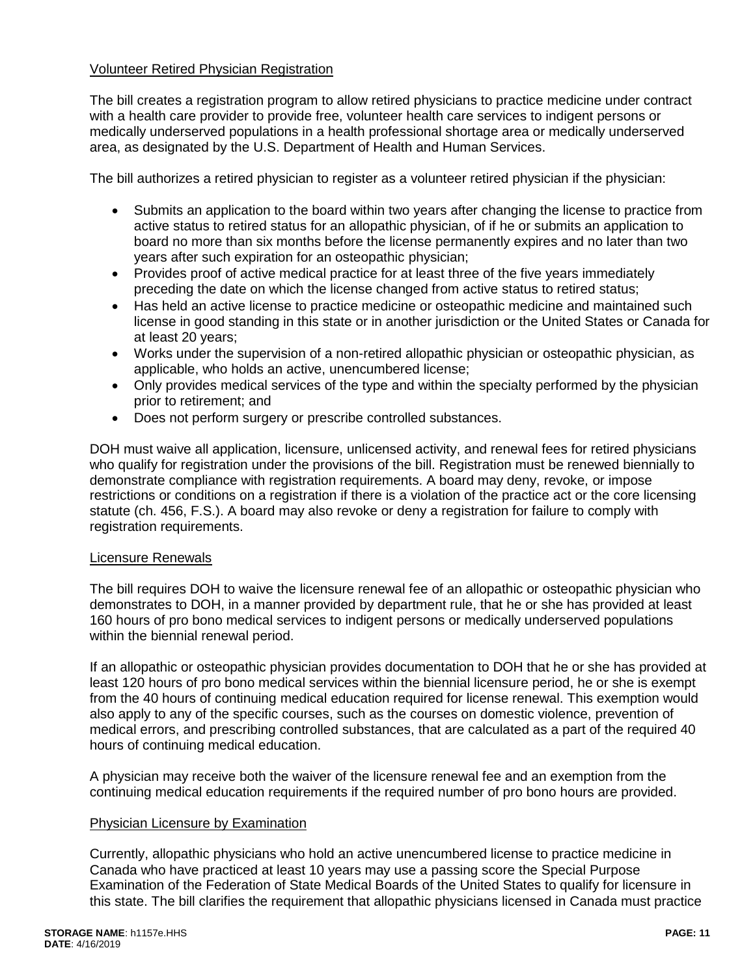#### Volunteer Retired Physician Registration

The bill creates a registration program to allow retired physicians to practice medicine under contract with a health care provider to provide free, volunteer health care services to indigent persons or medically underserved populations in a health professional shortage area or medically underserved area, as designated by the U.S. Department of Health and Human Services.

The bill authorizes a retired physician to register as a volunteer retired physician if the physician:

- Submits an application to the board within two years after changing the license to practice from active status to retired status for an allopathic physician, of if he or submits an application to board no more than six months before the license permanently expires and no later than two years after such expiration for an osteopathic physician;
- Provides proof of active medical practice for at least three of the five years immediately preceding the date on which the license changed from active status to retired status;
- Has held an active license to practice medicine or osteopathic medicine and maintained such license in good standing in this state or in another jurisdiction or the United States or Canada for at least 20 years;
- Works under the supervision of a non-retired allopathic physician or osteopathic physician, as applicable, who holds an active, unencumbered license;
- Only provides medical services of the type and within the specialty performed by the physician prior to retirement; and
- Does not perform surgery or prescribe controlled substances.

DOH must waive all application, licensure, unlicensed activity, and renewal fees for retired physicians who qualify for registration under the provisions of the bill. Registration must be renewed biennially to demonstrate compliance with registration requirements. A board may deny, revoke, or impose restrictions or conditions on a registration if there is a violation of the practice act or the core licensing statute (ch. 456, F.S.). A board may also revoke or deny a registration for failure to comply with registration requirements.

#### Licensure Renewals

The bill requires DOH to waive the licensure renewal fee of an allopathic or osteopathic physician who demonstrates to DOH, in a manner provided by department rule, that he or she has provided at least 160 hours of pro bono medical services to indigent persons or medically underserved populations within the biennial renewal period.

If an allopathic or osteopathic physician provides documentation to DOH that he or she has provided at least 120 hours of pro bono medical services within the biennial licensure period, he or she is exempt from the 40 hours of continuing medical education required for license renewal. This exemption would also apply to any of the specific courses, such as the courses on domestic violence, prevention of medical errors, and prescribing controlled substances, that are calculated as a part of the required 40 hours of continuing medical education.

A physician may receive both the waiver of the licensure renewal fee and an exemption from the continuing medical education requirements if the required number of pro bono hours are provided.

#### Physician Licensure by Examination

Currently, allopathic physicians who hold an active unencumbered license to practice medicine in Canada who have practiced at least 10 years may use a passing score the Special Purpose Examination of the Federation of State Medical Boards of the United States to qualify for licensure in this state. The bill clarifies the requirement that allopathic physicians licensed in Canada must practice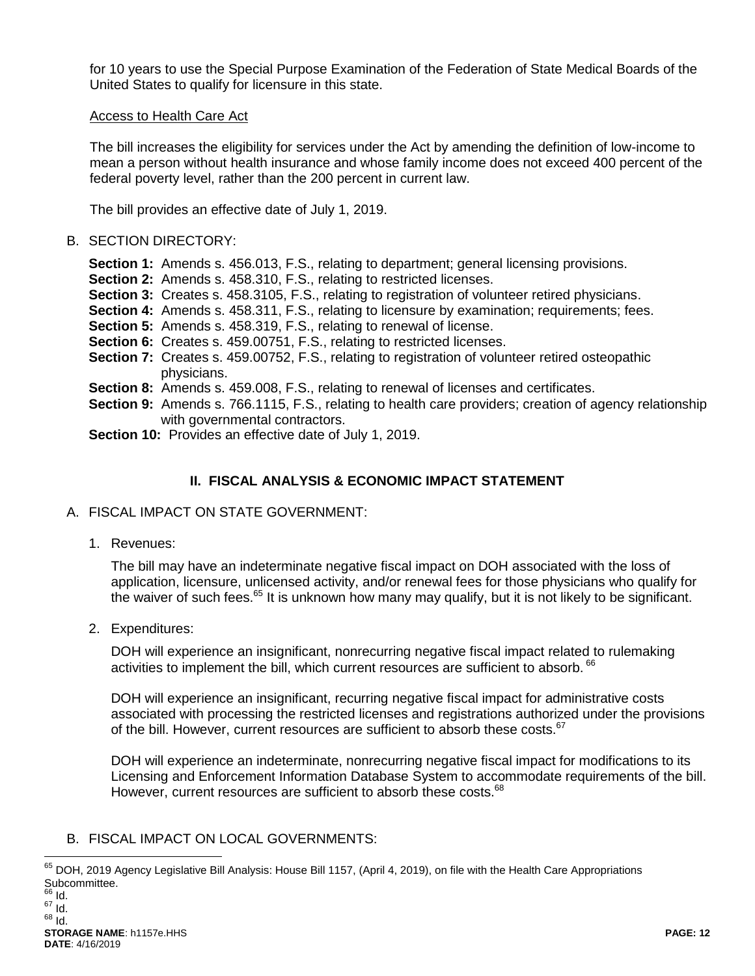for 10 years to use the Special Purpose Examination of the Federation of State Medical Boards of the United States to qualify for licensure in this state.

#### Access to Health Care Act

The bill increases the eligibility for services under the Act by amending the definition of low-income to mean a person without health insurance and whose family income does not exceed 400 percent of the federal poverty level, rather than the 200 percent in current law.

The bill provides an effective date of July 1, 2019.

#### B. SECTION DIRECTORY:

- **Section 1:** Amends s. 456.013, F.S., relating to department; general licensing provisions.
- **Section 2:** Amends s. 458.310, F.S., relating to restricted licenses.
- **Section 3:** Creates s. 458.3105, F.S., relating to registration of volunteer retired physicians.
- **Section 4:** Amends s. 458.311, F.S., relating to licensure by examination; requirements; fees.
- **Section 5:** Amends s. 458.319, F.S., relating to renewal of license.
- **Section 6:** Creates s. 459.00751, F.S., relating to restricted licenses.
- **Section 7:** Creates s. 459.00752, F.S., relating to registration of volunteer retired osteopathic physicians.
- **Section 8:** Amends s. 459.008, F.S., relating to renewal of licenses and certificates.
- **Section 9:** Amends s. 766.1115, F.S., relating to health care providers; creation of agency relationship with governmental contractors.
- **Section 10:** Provides an effective date of July 1, 2019.

# **II. FISCAL ANALYSIS & ECONOMIC IMPACT STATEMENT**

- A. FISCAL IMPACT ON STATE GOVERNMENT:
	- 1. Revenues:

The bill may have an indeterminate negative fiscal impact on DOH associated with the loss of application, licensure, unlicensed activity, and/or renewal fees for those physicians who qualify for the waiver of such fees.<sup>65</sup> It is unknown how many may qualify, but it is not likely to be significant.

2. Expenditures:

DOH will experience an insignificant, nonrecurring negative fiscal impact related to rulemaking activities to implement the bill, which current resources are sufficient to absorb. <sup>66</sup>

DOH will experience an insignificant, recurring negative fiscal impact for administrative costs associated with processing the restricted licenses and registrations authorized under the provisions of the bill. However, current resources are sufficient to absorb these costs.<sup>67</sup>

DOH will experience an indeterminate, nonrecurring negative fiscal impact for modifications to its Licensing and Enforcement Information Database System to accommodate requirements of the bill. However, current resources are sufficient to absorb these costs.<sup>68</sup>

## B. FISCAL IMPACT ON LOCAL GOVERNMENTS:

 $\overline{a}$  $^{65}$  DOH, 2019 Agency Legislative Bill Analysis: House Bill 1157, (April 4, 2019), on file with the Health Care Appropriations Subcommittee.